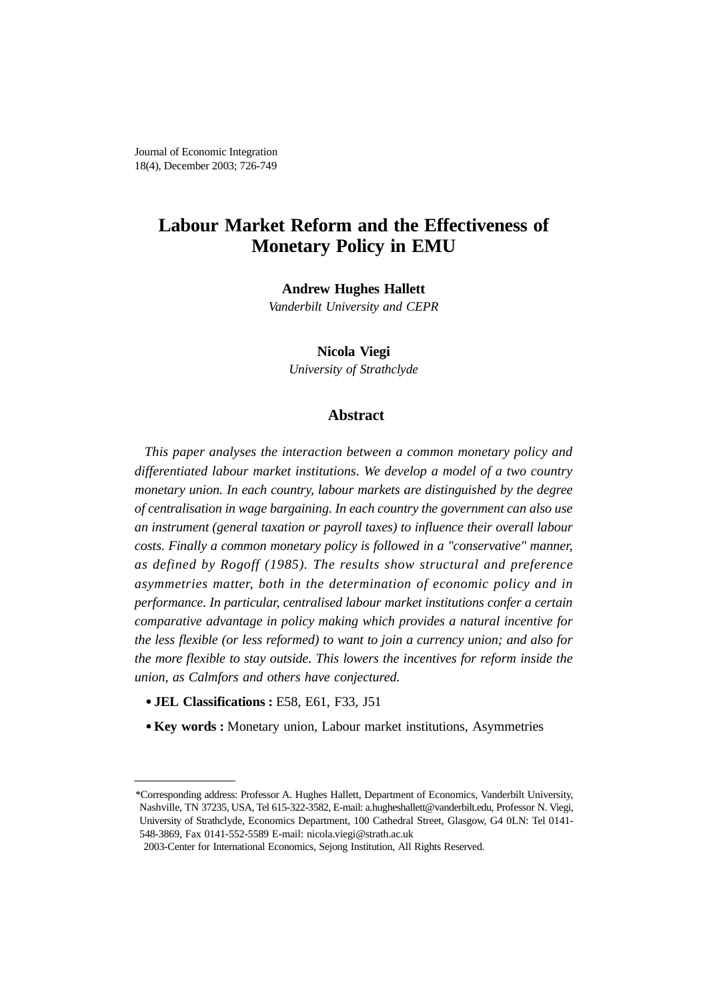Journal of Economic Integration 18(4), December 2003; 726-749

# **Labour Market Reform and the Effectiveness of Monetary Policy in EMU**

**Andrew Hughes Hallett**

*Vanderbilt University and CEPR*

**Nicola Viegi**

*University of Strathclyde*

# **Abstract**

*This paper analyses the interaction between a common monetary policy and differentiated labour market institutions. We develop a model of a two country monetary union. In each country, labour markets are distinguished by the degree of centralisation in wage bargaining. In each country the government can also use an instrument (general taxation or payroll taxes) to influence their overall labour costs. Finally a common monetary policy is followed in a "conservative" manner, as defined by Rogoff (1985). The results show structural and preference asymmetries matter, both in the determination of economic policy and in performance. In particular, centralised labour market institutions confer a certain comparative advantage in policy making which provides a natural incentive for the less flexible (or less reformed) to want to join a currency union; and also for the more flexible to stay outside. This lowers the incentives for reform inside the union, as Calmfors and others have conjectured.*

- **JEL Classifications :** E58, E61, F33, J51
- **Key words :** Monetary union, Labour market institutions, Asymmetries

<sup>\*</sup>Corresponding address: Professor A. Hughes Hallett, Department of Economics, Vanderbilt University, Nashville, TN 37235, USA, Tel 615-322-3582, E-mail: a.hugheshallett@vanderbilt.edu, Professor N. Viegi, University of Strathclyde, Economics Department, 100 Cathedral Street, Glasgow, G4 0LN: Tel 0141- 548-3869, Fax 0141-552-5589 E-mail: nicola.viegi@strath.ac.uk

<sup>2003-</sup>Center for International Economics, Sejong Institution, All Rights Reserved.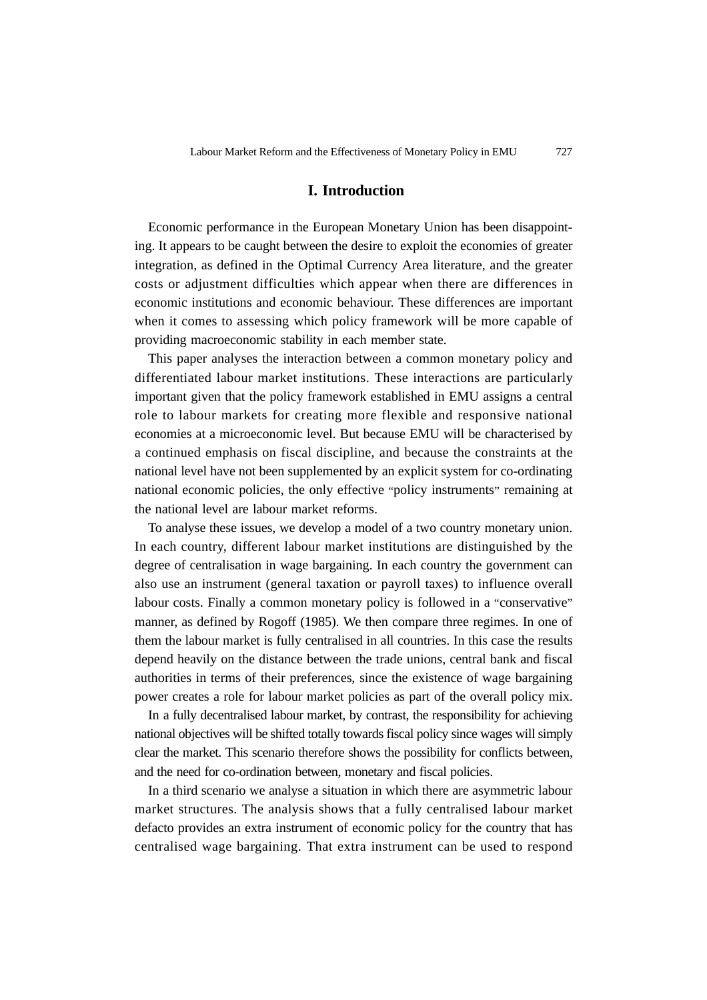# **I. Introduction**

Economic performance in the European Monetary Union has been disappointing. It appears to be caught between the desire to exploit the economies of greater integration, as defined in the Optimal Currency Area literature, and the greater costs or adjustment difficulties which appear when there are differences in economic institutions and economic behaviour. These differences are important when it comes to assessing which policy framework will be more capable of providing macroeconomic stability in each member state.

This paper analyses the interaction between a common monetary policy and differentiated labour market institutions. These interactions are particularly important given that the policy framework established in EMU assigns a central role to labour markets for creating more flexible and responsive national economies at a microeconomic level. But because EMU will be characterised by a continued emphasis on fiscal discipline, and because the constraints at the national level have not been supplemented by an explicit system for co-ordinating national economic policies, the only effective "policy instruments" remaining at the national level are labour market reforms.

To analyse these issues, we develop a model of a two country monetary union. In each country, different labour market institutions are distinguished by the degree of centralisation in wage bargaining. In each country the government can also use an instrument (general taxation or payroll taxes) to influence overall labour costs. Finally a common monetary policy is followed in a "conservative" manner, as defined by Rogoff (1985). We then compare three regimes. In one of them the labour market is fully centralised in all countries. In this case the results depend heavily on the distance between the trade unions, central bank and fiscal authorities in terms of their preferences, since the existence of wage bargaining power creates a role for labour market policies as part of the overall policy mix.

In a fully decentralised labour market, by contrast, the responsibility for achieving national objectives will be shifted totally towards fiscal policy since wages will simply clear the market. This scenario therefore shows the possibility for conflicts between, and the need for co-ordination between, monetary and fiscal policies.

In a third scenario we analyse a situation in which there are asymmetric labour market structures. The analysis shows that a fully centralised labour market defacto provides an extra instrument of economic policy for the country that has centralised wage bargaining. That extra instrument can be used to respond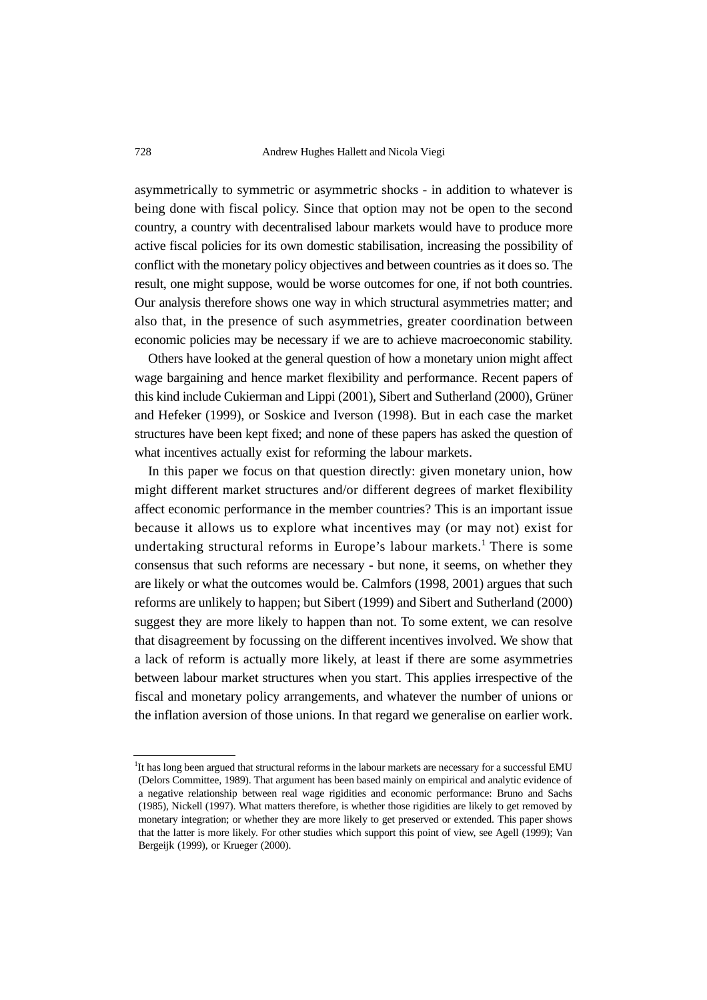asymmetrically to symmetric or asymmetric shocks - in addition to whatever is being done with fiscal policy. Since that option may not be open to the second country, a country with decentralised labour markets would have to produce more active fiscal policies for its own domestic stabilisation, increasing the possibility of conflict with the monetary policy objectives and between countries as it does so. The result, one might suppose, would be worse outcomes for one, if not both countries. Our analysis therefore shows one way in which structural asymmetries matter; and also that, in the presence of such asymmetries, greater coordination between economic policies may be necessary if we are to achieve macroeconomic stability.

Others have looked at the general question of how a monetary union might affect wage bargaining and hence market flexibility and performance. Recent papers of this kind include Cukierman and Lippi (2001), Sibert and Sutherland (2000), Grüner and Hefeker (1999), or Soskice and Iverson (1998). But in each case the market structures have been kept fixed; and none of these papers has asked the question of what incentives actually exist for reforming the labour markets.

In this paper we focus on that question directly: given monetary union, how might different market structures and/or different degrees of market flexibility affect economic performance in the member countries? This is an important issue because it allows us to explore what incentives may (or may not) exist for undertaking structural reforms in Europe's labour markets.<sup>1</sup> There is some consensus that such reforms are necessary - but none, it seems, on whether they are likely or what the outcomes would be. Calmfors (1998, 2001) argues that such reforms are unlikely to happen; but Sibert (1999) and Sibert and Sutherland (2000) suggest they are more likely to happen than not. To some extent, we can resolve that disagreement by focussing on the different incentives involved. We show that a lack of reform is actually more likely, at least if there are some asymmetries between labour market structures when you start. This applies irrespective of the fiscal and monetary policy arrangements, and whatever the number of unions or the inflation aversion of those unions. In that regard we generalise on earlier work.

<sup>&</sup>lt;sup>1</sup>It has long been argued that structural reforms in the labour markets are necessary for a successful EMU (Delors Committee, 1989). That argument has been based mainly on empirical and analytic evidence of a negative relationship between real wage rigidities and economic performance: Bruno and Sachs (1985), Nickell (1997). What matters therefore, is whether those rigidities are likely to get removed by monetary integration; or whether they are more likely to get preserved or extended. This paper shows that the latter is more likely. For other studies which support this point of view, see Agell (1999); Van Bergeijk (1999), or Krueger (2000).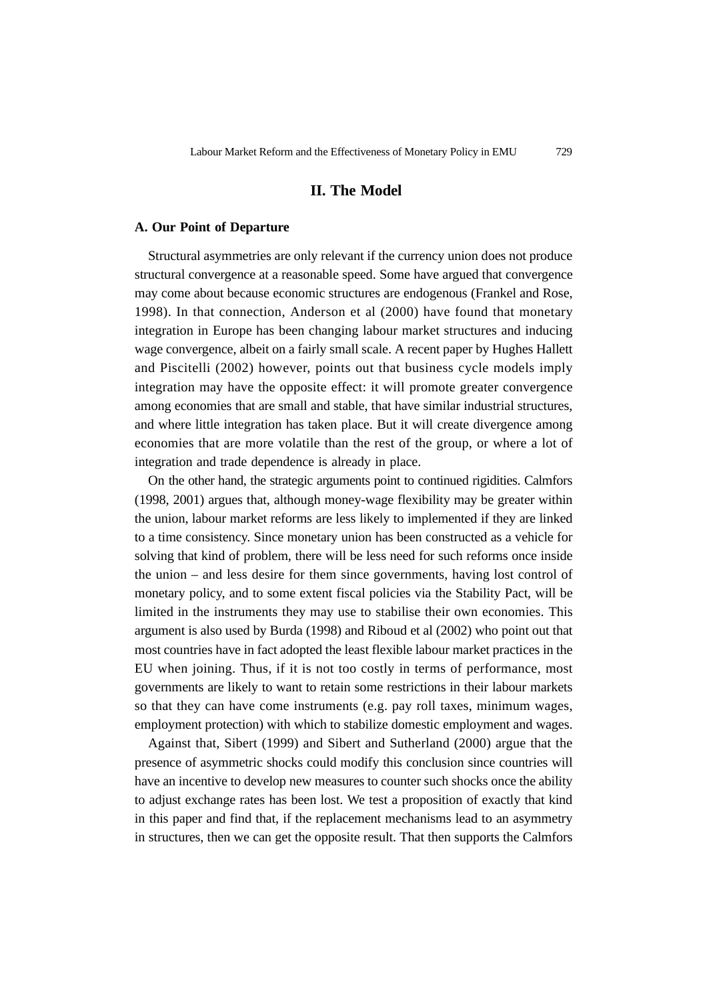# **II. The Model**

### **A. Our Point of Departure**

Structural asymmetries are only relevant if the currency union does not produce structural convergence at a reasonable speed. Some have argued that convergence may come about because economic structures are endogenous (Frankel and Rose, 1998). In that connection, Anderson et al (2000) have found that monetary integration in Europe has been changing labour market structures and inducing wage convergence, albeit on a fairly small scale. A recent paper by Hughes Hallett and Piscitelli (2002) however, points out that business cycle models imply integration may have the opposite effect: it will promote greater convergence among economies that are small and stable, that have similar industrial structures, and where little integration has taken place. But it will create divergence among economies that are more volatile than the rest of the group, or where a lot of integration and trade dependence is already in place.

On the other hand, the strategic arguments point to continued rigidities. Calmfors (1998, 2001) argues that, although money-wage flexibility may be greater within the union, labour market reforms are less likely to implemented if they are linked to a time consistency. Since monetary union has been constructed as a vehicle for solving that kind of problem, there will be less need for such reforms once inside the union – and less desire for them since governments, having lost control of monetary policy, and to some extent fiscal policies via the Stability Pact, will be limited in the instruments they may use to stabilise their own economies. This argument is also used by Burda (1998) and Riboud et al (2002) who point out that most countries have in fact adopted the least flexible labour market practices in the EU when joining. Thus, if it is not too costly in terms of performance, most governments are likely to want to retain some restrictions in their labour markets so that they can have come instruments (e.g. pay roll taxes, minimum wages, employment protection) with which to stabilize domestic employment and wages.

Against that, Sibert (1999) and Sibert and Sutherland (2000) argue that the presence of asymmetric shocks could modify this conclusion since countries will have an incentive to develop new measures to counter such shocks once the ability to adjust exchange rates has been lost. We test a proposition of exactly that kind in this paper and find that, if the replacement mechanisms lead to an asymmetry in structures, then we can get the opposite result. That then supports the Calmfors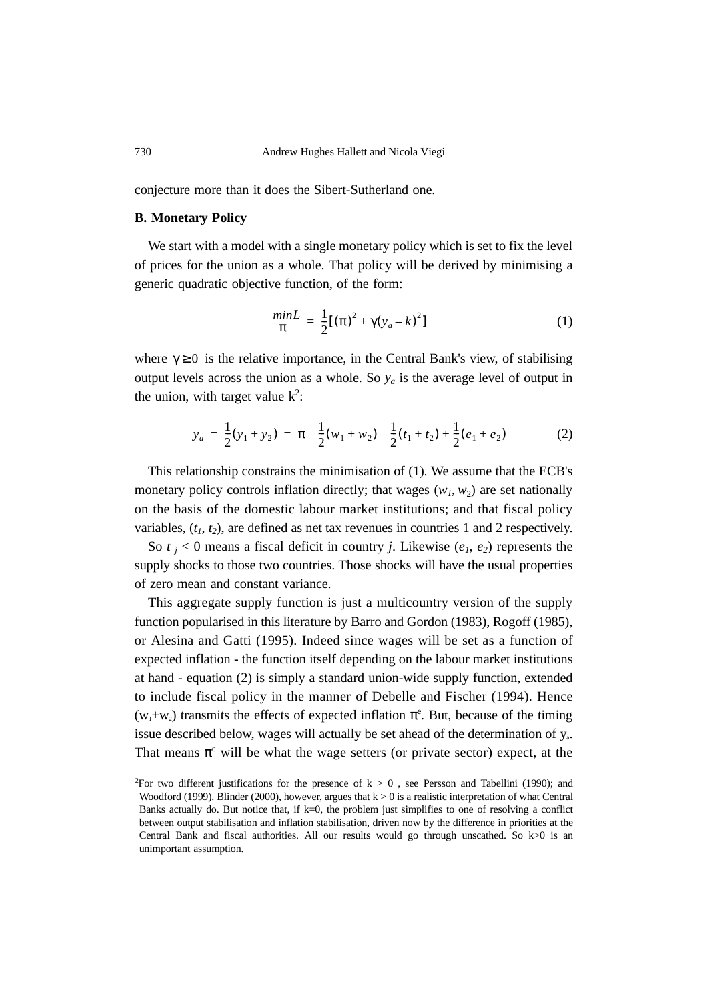conjecture more than it does the Sibert-Sutherland one.

### **B. Monetary Policy**

We start with a model with a single monetary policy which is set to fix the level of prices for the union as a whole. That policy will be derived by minimising a generic quadratic objective function, of the form:

$$
\frac{minL}{\pi} = \frac{1}{2} [(\pi)^2 + \gamma (y_a - k)^2]
$$
 (1)

where  $\gamma \ge 0$  is the relative importance, in the Central Bank's view, of stabilising output levels across the union as a whole. So  $y_a$  is the average level of output in the union, with target value  $k^2$ :

$$
y_a = \frac{1}{2}(y_1 + y_2) = \pi - \frac{1}{2}(w_1 + w_2) - \frac{1}{2}(t_1 + t_2) + \frac{1}{2}(e_1 + e_2)
$$
 (2)

This relationship constrains the minimisation of (1). We assume that the ECB's monetary policy controls inflation directly; that wages  $(w_1, w_2)$  are set nationally on the basis of the domestic labour market institutions; and that fiscal policy variables,  $(t_1, t_2)$ , are defined as net tax revenues in countries 1 and 2 respectively.

So  $t_i$  < 0 means a fiscal deficit in country *j*. Likewise  $(e_1, e_2)$  represents the supply shocks to those two countries. Those shocks will have the usual properties of zero mean and constant variance.

This aggregate supply function is just a multicountry version of the supply function popularised in this literature by Barro and Gordon (1983), Rogoff (1985), or Alesina and Gatti (1995). Indeed since wages will be set as a function of expected inflation - the function itself depending on the labour market institutions at hand - equation (2) is simply a standard union-wide supply function, extended to include fiscal policy in the manner of Debelle and Fischer (1994). Hence  $(w_1+w_2)$  transmits the effects of expected inflation  $\pi^e$ . But, because of the timing issue described below, wages will actually be set ahead of the determination of  $y_a$ . That means  $\pi^e$  will be what the wage setters (or private sector) expect, at the

<sup>&</sup>lt;sup>2</sup>For two different justifications for the presence of  $k > 0$ , see Persson and Tabellini (1990); and Woodford (1999). Blinder (2000), however, argues that  $k > 0$  is a realistic interpretation of what Central Banks actually do. But notice that, if k=0, the problem just simplifies to one of resolving a conflict between output stabilisation and inflation stabilisation, driven now by the difference in priorities at the Central Bank and fiscal authorities. All our results would go through unscathed. So  $k > 0$  is an unimportant assumption.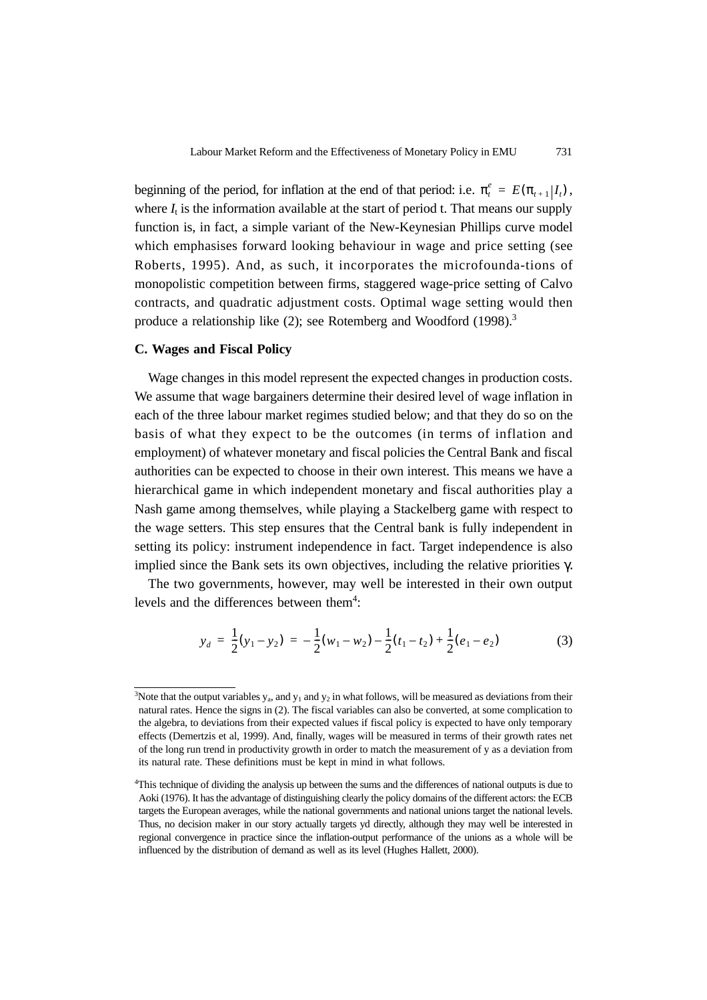beginning of the period, for inflation at the end of that period: i.e.  $\pi_t^e = E(\pi_{t+1} | I_t)$ , where  $I_t$  is the information available at the start of period t. That means our supply function is, in fact, a simple variant of the New-Keynesian Phillips curve model which emphasises forward looking behaviour in wage and price setting (see Roberts, 1995). And, as such, it incorporates the microfounda-tions of monopolistic competition between firms, staggered wage-price setting of Calvo contracts, and quadratic adjustment costs. Optimal wage setting would then produce a relationship like (2); see Rotemberg and Woodford (1998).<sup>3</sup>

#### **C. Wages and Fiscal Policy**

Wage changes in this model represent the expected changes in production costs. We assume that wage bargainers determine their desired level of wage inflation in each of the three labour market regimes studied below; and that they do so on the basis of what they expect to be the outcomes (in terms of inflation and employment) of whatever monetary and fiscal policies the Central Bank and fiscal authorities can be expected to choose in their own interest. This means we have a hierarchical game in which independent monetary and fiscal authorities play a Nash game among themselves, while playing a Stackelberg game with respect to the wage setters. This step ensures that the Central bank is fully independent in setting its policy: instrument independence in fact. Target independence is also implied since the Bank sets its own objectives, including the relative priorities γ.

The two governments, however, may well be interested in their own output levels and the differences between them<sup>4</sup>:

$$
y_d = \frac{1}{2}(y_1 - y_2) = -\frac{1}{2}(w_1 - w_2) - \frac{1}{2}(t_1 - t_2) + \frac{1}{2}(e_1 - e_2)
$$
 (3)

<sup>&</sup>lt;sup>3</sup>Note that the output variables  $y_a$ , and  $y_1$  and  $y_2$  in what follows, will be measured as deviations from their natural rates. Hence the signs in (2). The fiscal variables can also be converted, at some complication to the algebra, to deviations from their expected values if fiscal policy is expected to have only temporary effects (Demertzis et al, 1999). And, finally, wages will be measured in terms of their growth rates net of the long run trend in productivity growth in order to match the measurement of y as a deviation from its natural rate. These definitions must be kept in mind in what follows.

<sup>4</sup> This technique of dividing the analysis up between the sums and the differences of national outputs is due to Aoki (1976). It has the advantage of distinguishing clearly the policy domains of the different actors: the ECB targets the European averages, while the national governments and national unions target the national levels. Thus, no decision maker in our story actually targets yd directly, although they may well be interested in regional convergence in practice since the inflation-output performance of the unions as a whole will be influenced by the distribution of demand as well as its level (Hughes Hallett, 2000).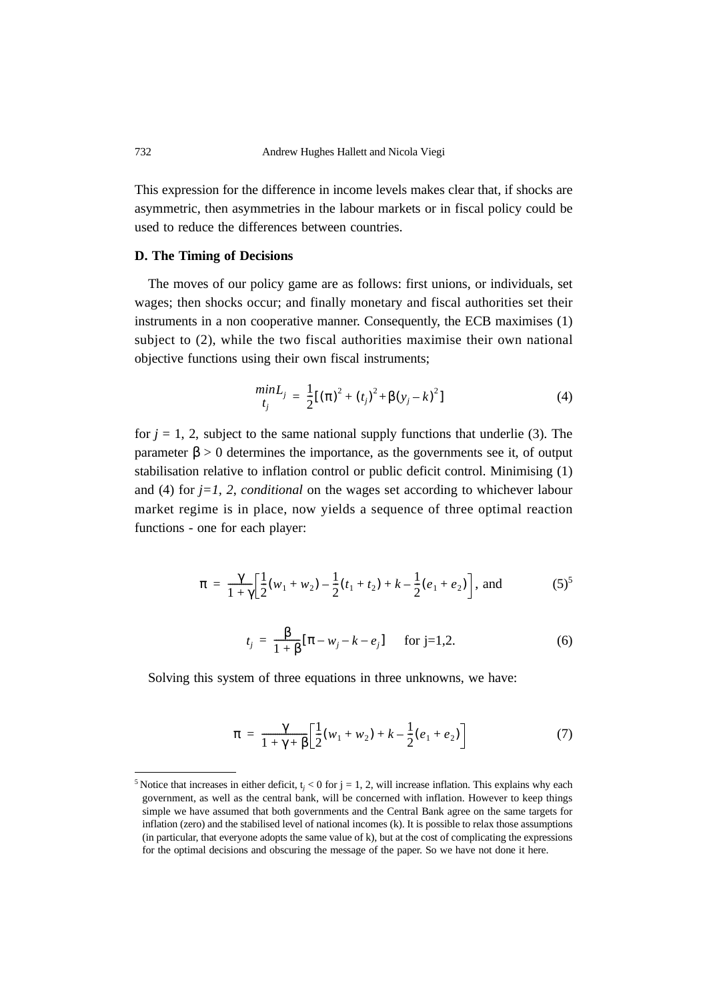This expression for the difference in income levels makes clear that, if shocks are asymmetric, then asymmetries in the labour markets or in fiscal policy could be used to reduce the differences between countries.

# **D. The Timing of Decisions**

The moves of our policy game are as follows: first unions, or individuals, set wages; then shocks occur; and finally monetary and fiscal authorities set their instruments in a non cooperative manner. Consequently, the ECB maximises (1) subject to (2), while the two fiscal authorities maximise their own national objective functions using their own fiscal instruments;

$$
\frac{minL_j}{t_j} = \frac{1}{2} [(\pi)^2 + (t_j)^2 + \beta (y_j - k)^2]
$$
 (4)

for  $j = 1, 2$ , subject to the same national supply functions that underlie (3). The parameter  $\beta > 0$  determines the importance, as the governments see it, of output stabilisation relative to inflation control or public deficit control. Minimising (1) and (4) for *j=1, 2*, *conditional* on the wages set according to whichever labour market regime is in place, now yields a sequence of three optimal reaction functions - one for each player:

$$
\pi = \frac{\gamma}{1+\gamma} \left[ \frac{1}{2}(w_1 + w_2) - \frac{1}{2}(t_1 + t_2) + k - \frac{1}{2}(e_1 + e_2) \right], \text{ and } (5)^5
$$

$$
t_j = \frac{\beta}{1+\beta} [\pi - w_j - k - e_j] \quad \text{for } j = 1, 2.
$$
 (6)

Solving this system of three equations in three unknowns, we have:

$$
\pi = \frac{\gamma}{1 + \gamma + \beta} \left[ \frac{1}{2} (w_1 + w_2) + k - \frac{1}{2} (e_1 + e_2) \right]
$$
(7)

<sup>&</sup>lt;sup>5</sup> Notice that increases in either deficit,  $t_j < 0$  for  $j = 1, 2$ , will increase inflation. This explains why each government, as well as the central bank, will be concerned with inflation. However to keep things simple we have assumed that both governments and the Central Bank agree on the same targets for inflation (zero) and the stabilised level of national incomes (k). It is possible to relax those assumptions (in particular, that everyone adopts the same value of  $k$ ), but at the cost of complicating the expressions for the optimal decisions and obscuring the message of the paper. So we have not done it here.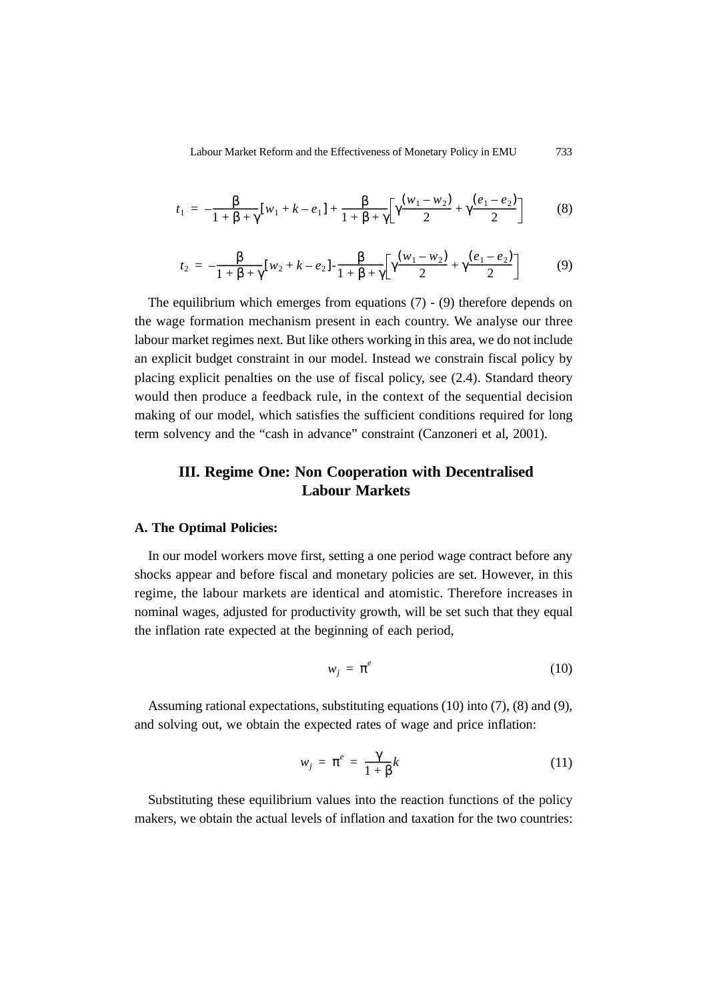Labour Market Reform and the Effectiveness of Monetary Policy in EMU 733

$$
t_1 = -\frac{\beta}{1 + \beta + \gamma} [w_1 + k - e_1] + \frac{\beta}{1 + \beta + \gamma} \left[ \gamma \frac{(w_1 - w_2)}{2} + \gamma \frac{(e_1 - e_2)}{2} \right] \tag{8}
$$

$$
t_2 = -\frac{\beta}{1 + \beta + \gamma} [w_2 + k - e_2] - \frac{\beta}{1 + \beta + \gamma} \left[ \gamma \frac{(w_1 - w_2)}{2} + \gamma \frac{(e_1 - e_2)}{2} \right] \tag{9}
$$

The equilibrium which emerges from equations (7) - (9) therefore depends on the wage formation mechanism present in each country. We analyse our three labour market regimes next. But like others working in this area, we do not include an explicit budget constraint in our model. Instead we constrain fiscal policy by placing explicit penalties on the use of fiscal policy, see (2.4). Standard theory would then produce a feedback rule, in the context of the sequential decision making of our model, which satisfies the sufficient conditions required for long term solvency and the "cash in advance" constraint (Canzoneri et al, 2001).

# **III. Regime One: Non Cooperation with Decentralised Labour Markets**

### **A. The Optimal Policies:**

In our model workers move first, setting a one period wage contract before any shocks appear and before fiscal and monetary policies are set. However, in this regime, the labour markets are identical and atomistic. Therefore increases in nominal wages, adjusted for productivity growth, will be set such that they equal the inflation rate expected at the beginning of each period,

$$
w_j = \pi^e \tag{10}
$$

Assuming rational expectations, substituting equations (10) into (7), (8) and (9), and solving out, we obtain the expected rates of wage and price inflation:

$$
w_j = \pi^e = \frac{\gamma}{1 + \beta} k \tag{11}
$$

Substituting these equilibrium values into the reaction functions of the policy makers, we obtain the actual levels of inflation and taxation for the two countries: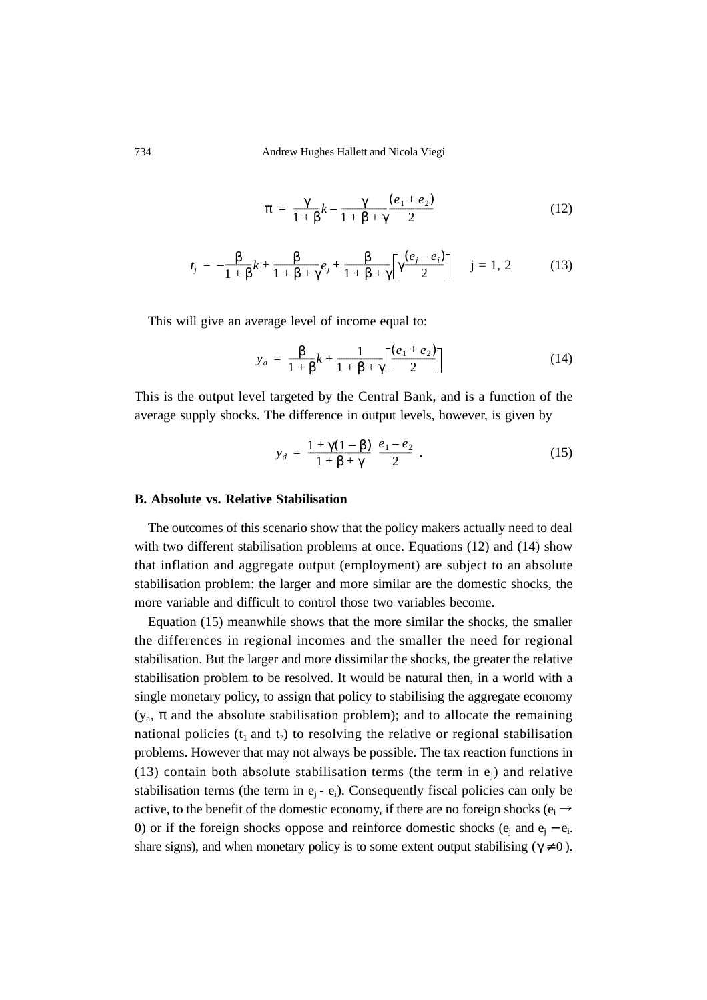734 Andrew Hughes Hallett and Nicola Viegi

$$
\pi = \frac{\gamma}{1+\beta}k - \frac{\gamma}{1+\beta+\gamma}\frac{(e_1+e_2)}{2} \tag{12}
$$

$$
t_j = -\frac{\beta}{1+\beta}k + \frac{\beta}{1+\beta+\gamma}e_j + \frac{\beta}{1+\beta+\gamma}\left[\gamma\frac{(e_j-e_i)}{2}\right] \quad j=1, 2 \quad (13)
$$

This will give an average level of income equal to:

$$
y_a = \frac{\beta}{1 + \beta} k + \frac{1}{1 + \beta + \gamma} \left[ \frac{(e_1 + e_2)}{2} \right]
$$
 (14)

This is the output level targeted by the Central Bank, and is a function of the average supply shocks. The difference in output levels, however, is given by

$$
y_d = \frac{1 + \gamma(1 - \beta)}{1 + \beta + \gamma} \left(\frac{e_1 - e_2}{2}\right).
$$
 (15)

#### **B. Absolute vs. Relative Stabilisation**

The outcomes of this scenario show that the policy makers actually need to deal with two different stabilisation problems at once. Equations (12) and (14) show that inflation and aggregate output (employment) are subject to an absolute stabilisation problem: the larger and more similar are the domestic shocks, the more variable and difficult to control those two variables become.

Equation (15) meanwhile shows that the more similar the shocks, the smaller the differences in regional incomes and the smaller the need for regional stabilisation. But the larger and more dissimilar the shocks, the greater the relative stabilisation problem to be resolved. It would be natural then, in a world with a single monetary policy, to assign that policy to stabilising the aggregate economy  $(y_a, \pi)$  and the absolute stabilisation problem); and to allocate the remaining national policies ( $t_1$  and  $t_2$ ) to resolving the relative or regional stabilisation problems. However that may not always be possible. The tax reaction functions in (13) contain both absolute stabilisation terms (the term in  $e_i$ ) and relative stabilisation terms (the term in  $e_i - e_i$ ). Consequently fiscal policies can only be active, to the benefit of the domestic economy, if there are no foreign shocks ( $e_i \rightarrow$ 0) or if the foreign shocks oppose and reinforce domestic shocks ( $e_i$  and  $e_i - e_i$ . share signs), and when monetary policy is to some extent output stabilising ( $\gamma \neq 0$ ).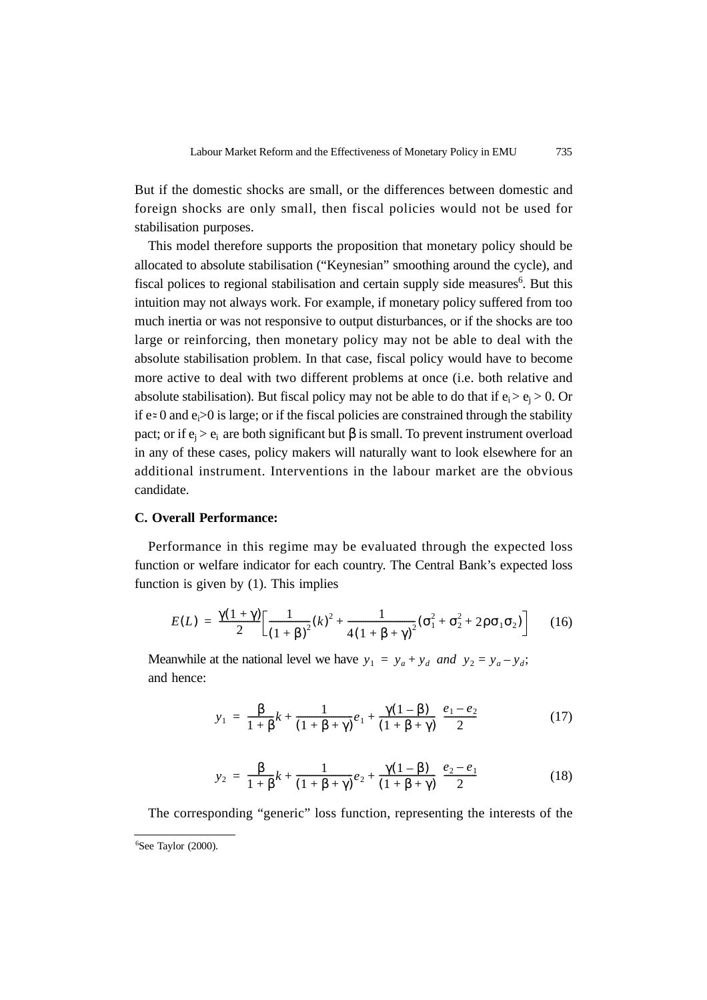But if the domestic shocks are small, or the differences between domestic and foreign shocks are only small, then fiscal policies would not be used for stabilisation purposes.

This model therefore supports the proposition that monetary policy should be allocated to absolute stabilisation ("Keynesian" smoothing around the cycle), and fiscal polices to regional stabilisation and certain supply side measures<sup>6</sup>. But this intuition may not always work. For example, if monetary policy suffered from too much inertia or was not responsive to output disturbances, or if the shocks are too large or reinforcing, then monetary policy may not be able to deal with the absolute stabilisation problem. In that case, fiscal policy would have to become more active to deal with two different problems at once (i.e. both relative and absolute stabilisation). But fiscal policy may not be able to do that if  $e_i > e_i > 0$ . Or if  $e \approx 0$  and  $e_i > 0$  is large; or if the fiscal policies are constrained through the stability pact; or if  $e_i > e_i$  are both significant but β is small. To prevent instrument overload in any of these cases, policy makers will naturally want to look elsewhere for an additional instrument. Interventions in the labour market are the obvious candidate.

# **C. Overall Performance:**

Performance in this regime may be evaluated through the expected loss function or welfare indicator for each country. The Central Bank's expected loss function is given by (1). This implies

$$
E(L) = \frac{\gamma(1+\gamma)}{2} \left[ \frac{1}{(1+\beta)^2} (k)^2 + \frac{1}{4(1+\beta+\gamma)^2} (\sigma_1^2 + \sigma_2^2 + 2\rho \sigma_1 \sigma_2) \right]
$$
 (16)

Meanwhile at the national level we have  $y_1 = y_a + y_d$  and  $y_2 = y_a - y_d$ ; and hence:

$$
y_1 = \frac{\beta}{1 + \beta} k + \frac{1}{(1 + \beta + \gamma)} e_1 + \frac{\gamma (1 - \beta)}{(1 + \beta + \gamma)} \left(\frac{e_1 - e_2}{2}\right)
$$
(17)

$$
y_2 = \frac{\beta}{1 + \beta} k + \frac{1}{(1 + \beta + \gamma)} e_2 + \frac{\gamma (1 - \beta)}{(1 + \beta + \gamma)} \left(\frac{e_2 - e_1}{2}\right)
$$
(18)

The corresponding "generic" loss function, representing the interests of the

<sup>6</sup> See Taylor (2000).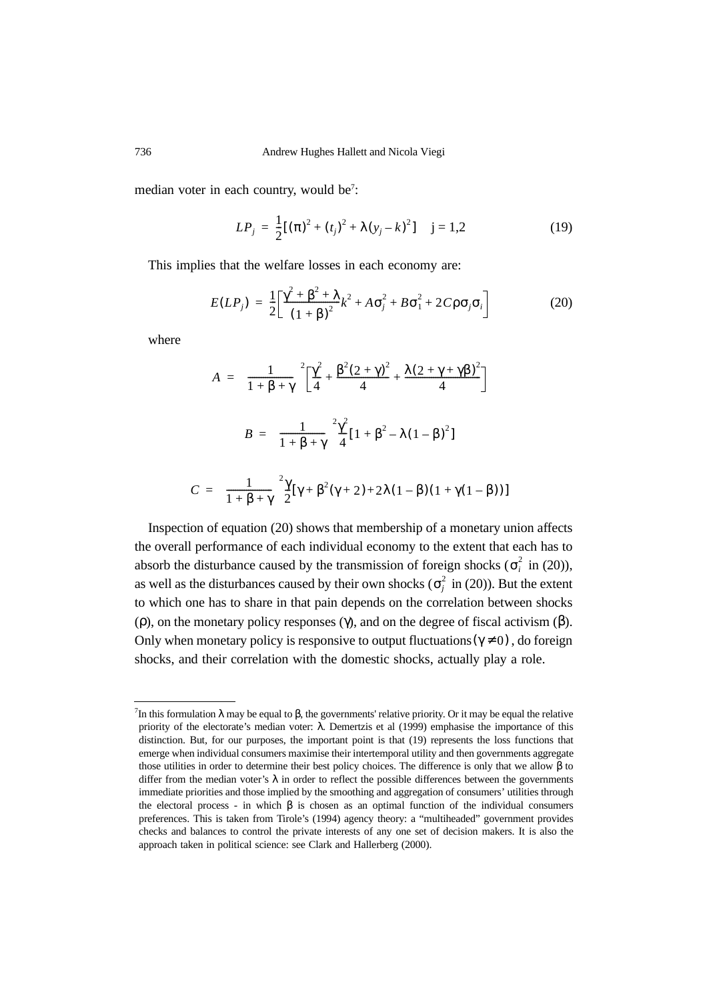median voter in each country, would be<sup>7</sup>:

$$
LP_j = \frac{1}{2} [(\pi)^2 + (t_j)^2 + \lambda (y_j - k)^2] \quad j = 1,2
$$
 (19)

This implies that the welfare losses in each economy are:

$$
E(LP_j) = \frac{1}{2} \left[ \frac{\gamma^2 + \beta^2 + \lambda}{(1 + \beta)^2} k^2 + A\sigma_j^2 + B\sigma_1^2 + 2C\rho\sigma_j\sigma_i \right]
$$
(20)

where

$$
A = \left(\frac{1}{1 + \beta + \gamma}\right)^{2} \left[\frac{\gamma^{2}}{4} + \frac{\beta^{2}(2 + \gamma)^{2}}{4} + \frac{\lambda(2 + \gamma + \gamma\beta)^{2}}{4}\right]
$$

$$
B = \left(\frac{1}{1 + \beta + \gamma}\right)^{2} \frac{\gamma^{2}}{4} [1 + \beta^{2} - \lambda(1 - \beta)^{2}]
$$

$$
C = \left(\frac{1}{1 + \beta + \gamma}\right)^{2} \frac{\gamma}{2} [\gamma + \beta^{2}(\gamma + 2) + 2\lambda(1 - \beta)(1 + \gamma(1 - \beta))]
$$

Inspection of equation (20) shows that membership of a monetary union affects the overall performance of each individual economy to the extent that each has to absorb the disturbance caused by the transmission of foreign shocks ( $\sigma_i^2$  in (20)), as well as the disturbances caused by their own shocks ( $\sigma_j^2$  in (20)). But the extent to which one has to share in that pain depends on the correlation between shocks (ρ), on the monetary policy responses (γ), and on the degree of fiscal activism (β). Only when monetary policy is responsive to output fluctuations ( $\gamma \neq 0$ ), do foreign shocks, and their correlation with the domestic shocks, actually play a role.

<sup>&</sup>lt;sup>7</sup>In this formulation  $\lambda$  may be equal to  $\beta$ , the governments' relative priority. Or it may be equal the relative priority of the electorate's median voter: λ. Demertzis et al (1999) emphasise the importance of this distinction. But, for our purposes, the important point is that (19) represents the loss functions that emerge when individual consumers maximise their intertemporal utility and then governments aggregate those utilities in order to determine their best policy choices. The difference is only that we allow β to differ from the median voter's  $\lambda$  in order to reflect the possible differences between the governments immediate priorities and those implied by the smoothing and aggregation of consumers' utilities through the electoral process - in which  $\beta$  is chosen as an optimal function of the individual consumers preferences. This is taken from Tirole's (1994) agency theory: a "multiheaded" government provides checks and balances to control the private interests of any one set of decision makers. It is also the approach taken in political science: see Clark and Hallerberg (2000).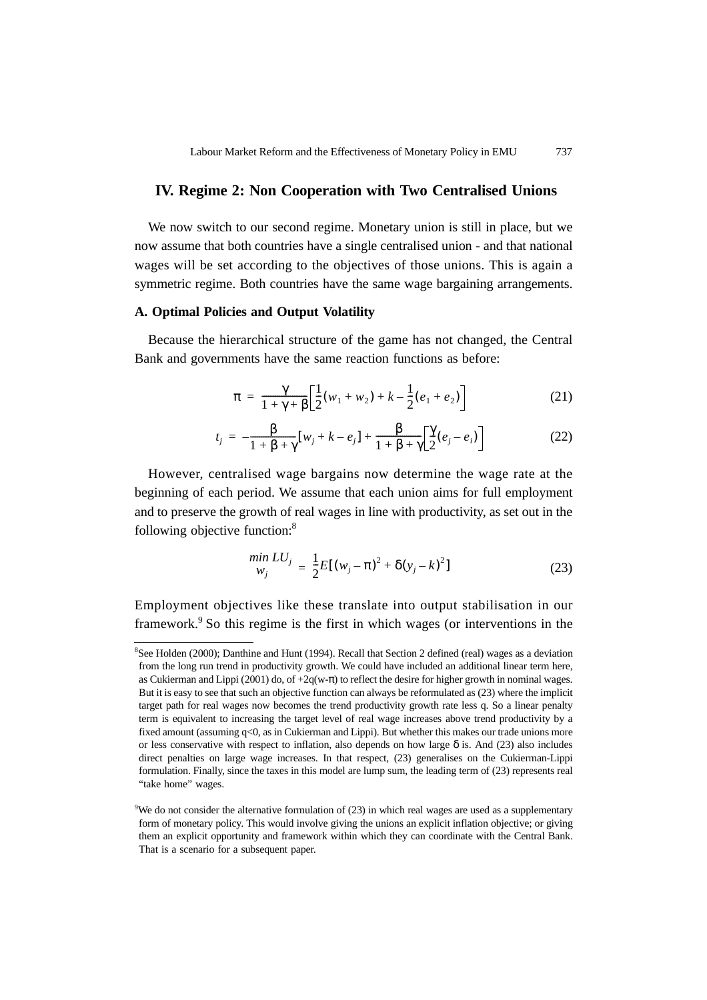# **IV. Regime 2: Non Cooperation with Two Centralised Unions**

We now switch to our second regime. Monetary union is still in place, but we now assume that both countries have a single centralised union - and that national wages will be set according to the objectives of those unions. This is again a symmetric regime. Both countries have the same wage bargaining arrangements.

#### **A. Optimal Policies and Output Volatility**

Because the hierarchical structure of the game has not changed, the Central Bank and governments have the same reaction functions as before:

$$
\pi = \frac{\gamma}{1 + \gamma + \beta} \left[ \frac{1}{2} (w_1 + w_2) + k - \frac{1}{2} (e_1 + e_2) \right]
$$
 (21)

$$
t_j = -\frac{\beta}{1 + \beta + \gamma} [w_j + k - e_j] + \frac{\beta}{1 + \beta + \gamma} \left[ \frac{\gamma}{2} (e_j - e_i) \right]
$$
(22)

However, centralised wage bargains now determine the wage rate at the beginning of each period. We assume that each union aims for full employment and to preserve the growth of real wages in line with productivity, as set out in the following objective function:8

$$
\frac{min\,LU_j}{w_j} = \frac{1}{2}E[(w_j - \pi)^2 + \delta(y_j - k)^2]
$$
\n(23)

Employment objectives like these translate into output stabilisation in our framework.9 So this regime is the first in which wages (or interventions in the

<sup>8</sup> See Holden (2000); Danthine and Hunt (1994). Recall that Section 2 defined (real) wages as a deviation from the long run trend in productivity growth. We could have included an additional linear term here, as Cukierman and Lippi (2001) do, of  $+2q(w-\pi)$  to reflect the desire for higher growth in nominal wages. But it is easy to see that such an objective function can always be reformulated as (23) where the implicit target path for real wages now becomes the trend productivity growth rate less q. So a linear penalty term is equivalent to increasing the target level of real wage increases above trend productivity by a fixed amount (assuming q<0, as in Cukierman and Lippi). But whether this makes our trade unions more or less conservative with respect to inflation, also depends on how large  $\delta$  is. And (23) also includes direct penalties on large wage increases. In that respect, (23) generalises on the Cukierman-Lippi formulation. Finally, since the taxes in this model are lump sum, the leading term of (23) represents real "take home" wages.

<sup>&</sup>lt;sup>9</sup>We do not consider the alternative formulation of  $(23)$  in which real wages are used as a supplementary form of monetary policy. This would involve giving the unions an explicit inflation objective; or giving them an explicit opportunity and framework within which they can coordinate with the Central Bank. That is a scenario for a subsequent paper.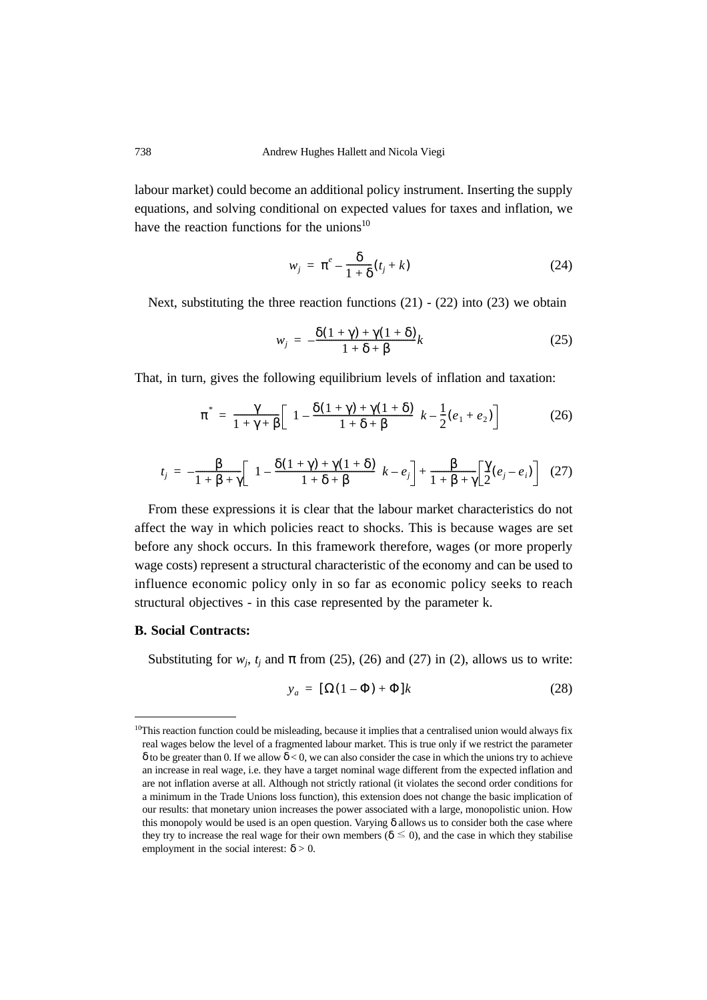labour market) could become an additional policy instrument. Inserting the supply equations, and solving conditional on expected values for taxes and inflation, we have the reaction functions for the unions $10$ 

$$
w_j = \pi^e - \frac{\delta}{1+\delta}(t_j + k) \tag{24}
$$

Next, substituting the three reaction functions  $(21)$  -  $(22)$  into  $(23)$  we obtain

$$
w_j = -\frac{\delta(1+\gamma) + \gamma(1+\delta)}{1+\delta+\beta}k
$$
 (25)

That, in turn, gives the following equilibrium levels of inflation and taxation:

$$
\pi^* = \frac{\gamma}{1 + \gamma + \beta} \Biggl[ \Biggl( 1 - \frac{\delta(1 + \gamma) + \gamma(1 + \delta)}{1 + \delta + \beta} \Biggr) k - \frac{1}{2} (e_1 + e_2) \Biggr] \tag{26}
$$

$$
t_j = -\frac{\beta}{1 + \beta + \gamma} \Biggl[ \Biggl( 1 - \frac{\delta(1 + \gamma) + \gamma(1 + \delta)}{1 + \delta + \beta} \Biggr) k - e_j \Biggr] + \frac{\beta}{1 + \beta + \gamma} \Biggl[ \frac{\gamma}{2} (e_j - e_i) \Biggr] \tag{27}
$$

From these expressions it is clear that the labour market characteristics do not affect the way in which policies react to shocks. This is because wages are set before any shock occurs. In this framework therefore, wages (or more properly wage costs) represent a structural characteristic of the economy and can be used to influence economic policy only in so far as economic policy seeks to reach structural objectives - in this case represented by the parameter k.

### **B. Social Contracts:**

Substituting for  $w_i$ ,  $t_i$  and  $\pi$  from (25), (26) and (27) in (2), allows us to write:

$$
y_a = [\Omega(1 - \Phi) + \Phi]k \tag{28}
$$

 $10$ This reaction function could be misleading, because it implies that a centralised union would always fix real wages below the level of a fragmented labour market. This is true only if we restrict the parameter  $\delta$  to be greater than 0. If we allow  $\delta$  < 0, we can also consider the case in which the unions try to achieve an increase in real wage, i.e. they have a target nominal wage different from the expected inflation and are not inflation averse at all. Although not strictly rational (it violates the second order conditions for a minimum in the Trade Unions loss function), this extension does not change the basic implication of our results: that monetary union increases the power associated with a large, monopolistic union. How this monopoly would be used is an open question. Varying δ allows us to consider both the case where they try to increase the real wage for their own members ( $\delta \le 0$ ), and the case in which they stabilise employment in the social interest:  $\delta > 0$ .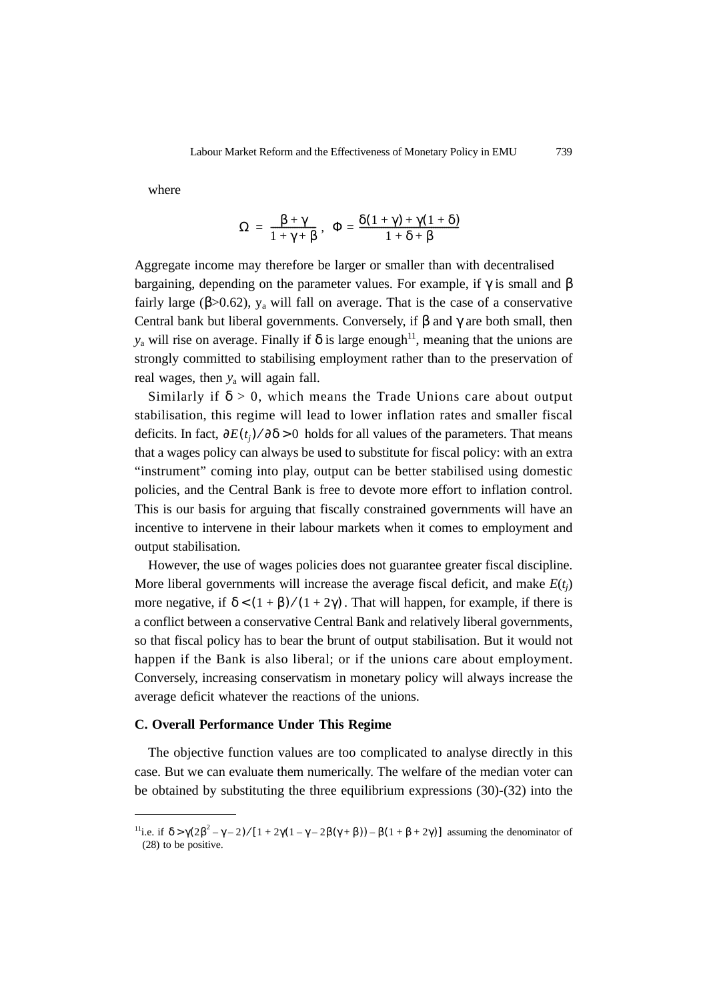where

$$
\Omega = \frac{\beta + \gamma}{1 + \gamma + \beta}, \quad \Phi = \frac{\delta(1 + \gamma) + \gamma(1 + \delta)}{1 + \delta + \beta}
$$

Aggregate income may therefore be larger or smaller than with decentralised bargaining, depending on the parameter values. For example, if  $\gamma$  is small and  $\beta$ fairly large (β>0.62),  $y_a$  will fall on average. That is the case of a conservative Central bank but liberal governments. Conversely, if  $\beta$  and  $\gamma$  are both small, then  $y_a$  will rise on average. Finally if  $\delta$  is large enough<sup>11</sup>, meaning that the unions are strongly committed to stabilising employment rather than to the preservation of real wages, then *y*a will again fall.

Similarly if  $\delta > 0$ , which means the Trade Unions care about output stabilisation, this regime will lead to lower inflation rates and smaller fiscal deficits. In fact,  $\partial E(t_j) / \partial \delta > 0$  holds for all values of the parameters. That means that a wages policy can always be used to substitute for fiscal policy: with an extra "instrument" coming into play, output can be better stabilised using domestic policies, and the Central Bank is free to devote more effort to inflation control. This is our basis for arguing that fiscally constrained governments will have an incentive to intervene in their labour markets when it comes to employment and output stabilisation.

However, the use of wages policies does not guarantee greater fiscal discipline. More liberal governments will increase the average fiscal deficit, and make  $E(t_i)$ more negative, if  $\delta < (1 + \beta) / (1 + 2\gamma)$ . That will happen, for example, if there is a conflict between a conservative Central Bank and relatively liberal governments, so that fiscal policy has to bear the brunt of output stabilisation. But it would not happen if the Bank is also liberal; or if the unions care about employment. Conversely, increasing conservatism in monetary policy will always increase the average deficit whatever the reactions of the unions.

#### **C. Overall Performance Under This Regime**

The objective function values are too complicated to analyse directly in this case. But we can evaluate them numerically. The welfare of the median voter can be obtained by substituting the three equilibrium expressions (30)-(32) into the

<sup>&</sup>lt;sup>11</sup>i.e. if  $\delta > \gamma(2\beta^2 - \gamma - 2) / [1 + 2\gamma(1 - \gamma - 2\beta(\gamma + \beta)) - \beta(1 + \beta + 2\gamma)]$  assuming the denominator of (28) to be positive.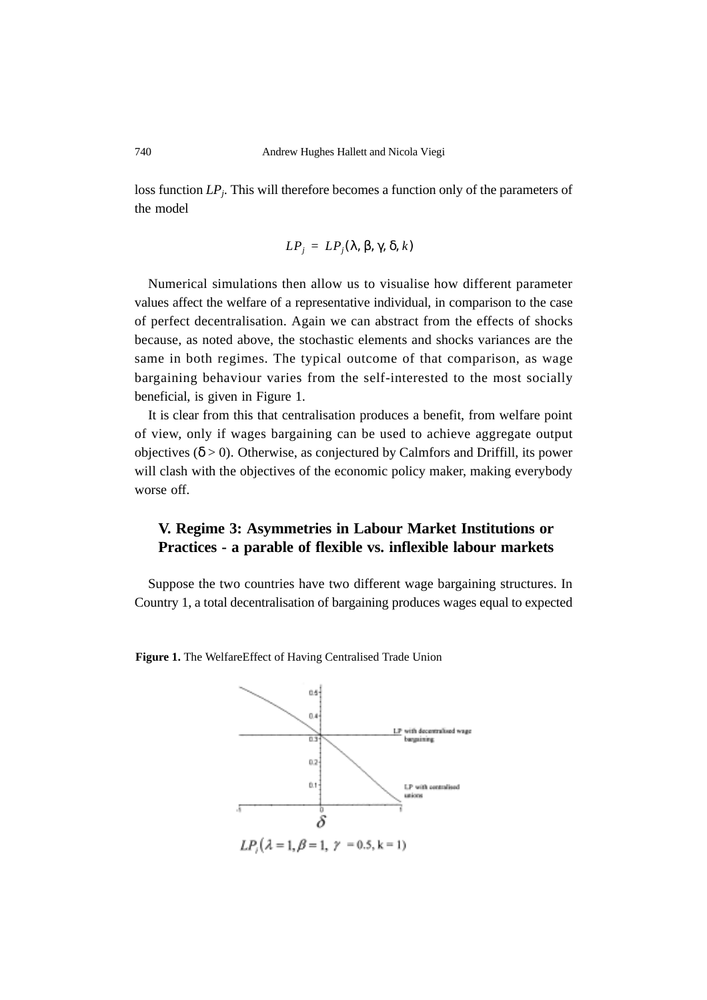loss function *LP<sub>i</sub>*. This will therefore becomes a function only of the parameters of the model

$$
LP_j = LP_j(\lambda, \beta, \gamma, \delta, k)
$$

Numerical simulations then allow us to visualise how different parameter values affect the welfare of a representative individual, in comparison to the case of perfect decentralisation. Again we can abstract from the effects of shocks because, as noted above, the stochastic elements and shocks variances are the same in both regimes. The typical outcome of that comparison, as wage bargaining behaviour varies from the self-interested to the most socially beneficial, is given in Figure 1.

It is clear from this that centralisation produces a benefit, from welfare point of view, only if wages bargaining can be used to achieve aggregate output objectives ( $\delta$  > 0). Otherwise, as conjectured by Calmfors and Driffill, its power will clash with the objectives of the economic policy maker, making everybody worse off.

# **V. Regime 3: Asymmetries in Labour Market Institutions or Practices - a parable of flexible vs. inflexible labour markets**

Suppose the two countries have two different wage bargaining structures. In Country 1, a total decentralisation of bargaining produces wages equal to expected

**Figure 1.** The WelfareEffect of Having Centralised Trade Union

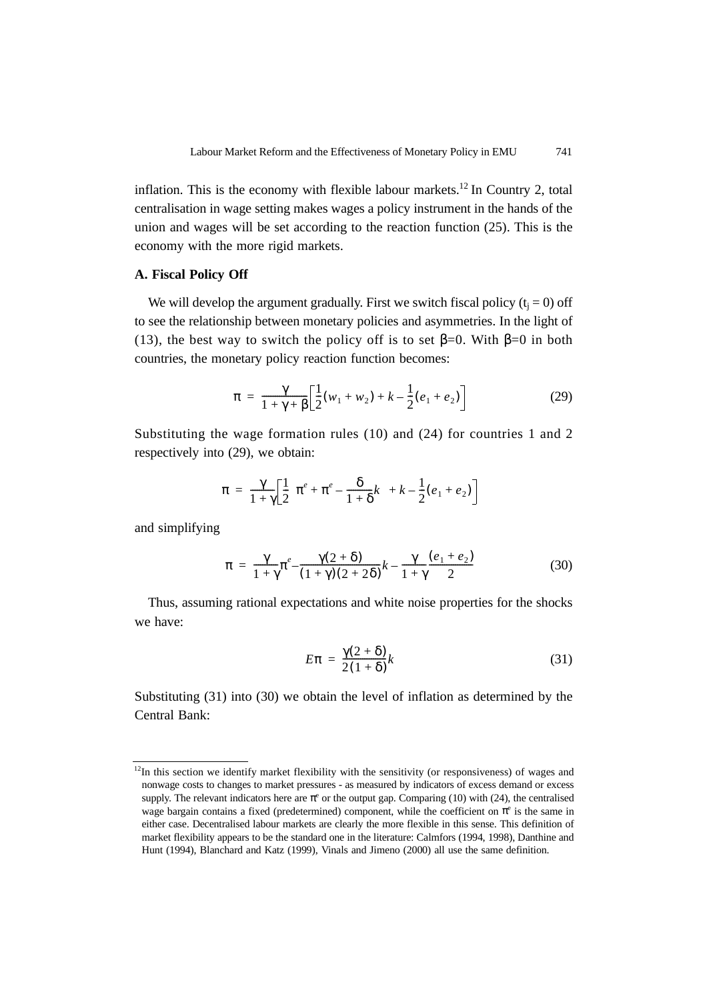inflation. This is the economy with flexible labour markets.<sup>12</sup> In Country 2, total centralisation in wage setting makes wages a policy instrument in the hands of the union and wages will be set according to the reaction function (25). This is the economy with the more rigid markets.

### **A. Fiscal Policy Off**

We will develop the argument gradually. First we switch fiscal policy  $(t_i = 0)$  off to see the relationship between monetary policies and asymmetries. In the light of (13), the best way to switch the policy off is to set  $\beta = 0$ . With  $\beta = 0$  in both countries, the monetary policy reaction function becomes:

$$
\pi = \frac{\gamma}{1 + \gamma + \beta} \left[ \frac{1}{2} (w_1 + w_2) + k - \frac{1}{2} (e_1 + e_2) \right]
$$
 (29)

Substituting the wage formation rules (10) and (24) for countries 1 and 2 respectively into (29), we obtain:

$$
\pi = \frac{\gamma}{1+\gamma} \left[ \frac{1}{2} \left( \pi^e + \pi^e - \frac{\delta}{1+\delta} k \right) + k - \frac{1}{2} (e_1 + e_2) \right]
$$

and simplifying

$$
\pi = \frac{\gamma}{1+\gamma} \pi^e - \frac{\gamma(2+\delta)}{(1+\gamma)(2+2\delta)} k - \frac{\gamma}{1+\gamma} \frac{(e_1+e_2)}{2}
$$
(30)

Thus, assuming rational expectations and white noise properties for the shocks we have:

$$
E\pi = \frac{\gamma(2+\delta)}{2(1+\delta)}k\tag{31}
$$

Substituting (31) into (30) we obtain the level of inflation as determined by the Central Bank:

 $12$ In this section we identify market flexibility with the sensitivity (or responsiveness) of wages and nonwage costs to changes to market pressures - as measured by indicators of excess demand or excess supply. The relevant indicators here are  $\pi^e$  or the output gap. Comparing (10) with (24), the centralised wage bargain contains a fixed (predetermined) component, while the coefficient on  $\pi$ <sup>e</sup> is the same in either case. Decentralised labour markets are clearly the more flexible in this sense. This definition of market flexibility appears to be the standard one in the literature: Calmfors (1994, 1998), Danthine and Hunt (1994), Blanchard and Katz (1999), Vinals and Jimeno (2000) all use the same definition.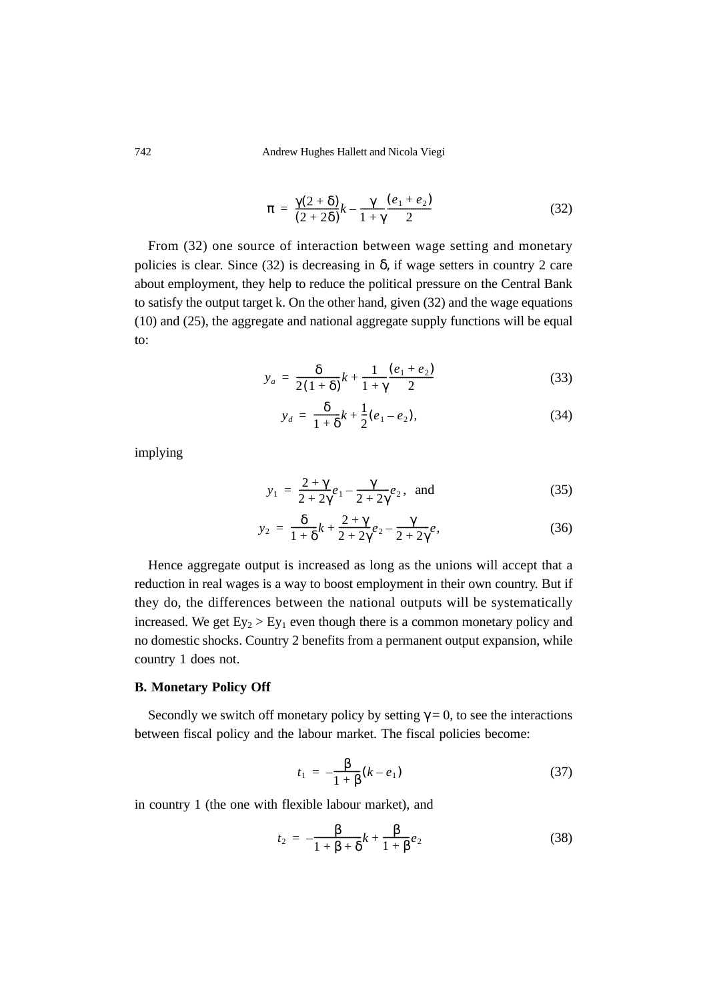$$
\pi = \frac{\gamma(2+\delta)}{(2+2\delta)}k - \frac{\gamma}{1+\gamma} \frac{(e_1+e_2)}{2}
$$
(32)

From (32) one source of interaction between wage setting and monetary policies is clear. Since  $(32)$  is decreasing in  $\delta$ , if wage setters in country 2 care about employment, they help to reduce the political pressure on the Central Bank to satisfy the output target k. On the other hand, given (32) and the wage equations (10) and (25), the aggregate and national aggregate supply functions will be equal to:

$$
y_a = \frac{\delta}{2(1+\delta)}k + \frac{1}{1+\gamma}\frac{(e_1+e_2)}{2}
$$
 (33)

$$
y_d = \frac{\delta}{1+\delta}k + \frac{1}{2}(e_1 - e_2),
$$
 (34)

implying

$$
y_1 = \frac{2+\gamma}{2+2\gamma}e_1 - \frac{\gamma}{2+2\gamma}e_2, \text{ and } (35)
$$

$$
y_2 = \frac{\delta}{1+\delta}k + \frac{2+\gamma}{2+2\gamma}e_2 - \frac{\gamma}{2+2\gamma}e,\tag{36}
$$

Hence aggregate output is increased as long as the unions will accept that a reduction in real wages is a way to boost employment in their own country. But if they do, the differences between the national outputs will be systematically increased. We get  $Ey_2 > Ey_1$  even though there is a common monetary policy and no domestic shocks. Country 2 benefits from a permanent output expansion, while country 1 does not.

#### **B. Monetary Policy Off**

Secondly we switch off monetary policy by setting  $\gamma = 0$ , to see the interactions between fiscal policy and the labour market. The fiscal policies become:

$$
t_1 = -\frac{\beta}{1+\beta}(k - e_1)
$$
 (37)

in country 1 (the one with flexible labour market), and

$$
t_2 = -\frac{\beta}{1 + \beta + \delta}k + \frac{\beta}{1 + \beta}e_2
$$
\n(38)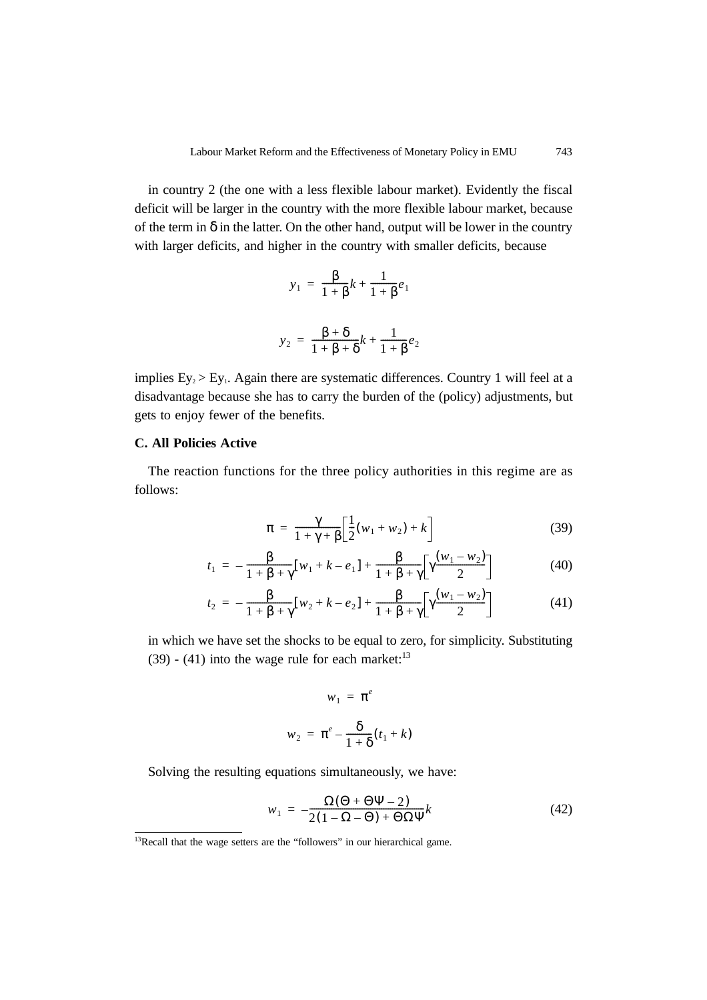in country 2 (the one with a less flexible labour market). Evidently the fiscal deficit will be larger in the country with the more flexible labour market, because of the term in  $\delta$  in the latter. On the other hand, output will be lower in the country with larger deficits, and higher in the country with smaller deficits, because

$$
y_1 = \frac{\beta}{1+\beta}k + \frac{1}{1+\beta}e_1
$$

$$
y_2 = \frac{\beta+\delta}{1+\beta+\delta}k + \frac{1}{1+\beta}e_2
$$

implies  $Ey_2 > Ey_1$ . Again there are systematic differences. Country 1 will feel at a disadvantage because she has to carry the burden of the (policy) adjustments, but gets to enjoy fewer of the benefits.

## **C. All Policies Active**

The reaction functions for the three policy authorities in this regime are as follows:

$$
\pi = \frac{\gamma}{1 + \gamma + \beta} \left[ \frac{1}{2} (w_1 + w_2) + k \right]
$$
 (39)

$$
t_1 = -\frac{\beta}{1 + \beta + \gamma} [w_1 + k - e_1] + \frac{\beta}{1 + \beta + \gamma} \left[ \gamma \frac{(w_1 - w_2)}{2} \right]
$$
(40)

$$
t_2 = -\frac{\beta}{1 + \beta + \gamma} [w_2 + k - e_2] + \frac{\beta}{1 + \beta + \gamma} \left[ \gamma \frac{(w_1 - w_2)}{2} \right]
$$
(41)

in which we have set the shocks to be equal to zero, for simplicity. Substituting  $(39)$  -  $(41)$  into the wage rule for each market:<sup>13</sup>

$$
w_1 = \pi^e
$$

$$
w_2 = \pi^e - \frac{\delta}{1 + \delta}(t_1 + k)
$$

Solving the resulting equations simultaneously, we have:

$$
w_1 = -\frac{\Omega(\Theta + \Theta \Psi - 2)}{2(1 - \Omega - \Theta) + \Theta \Omega \Psi} k \tag{42}
$$

<sup>&</sup>lt;sup>13</sup>Recall that the wage setters are the "followers" in our hierarchical game.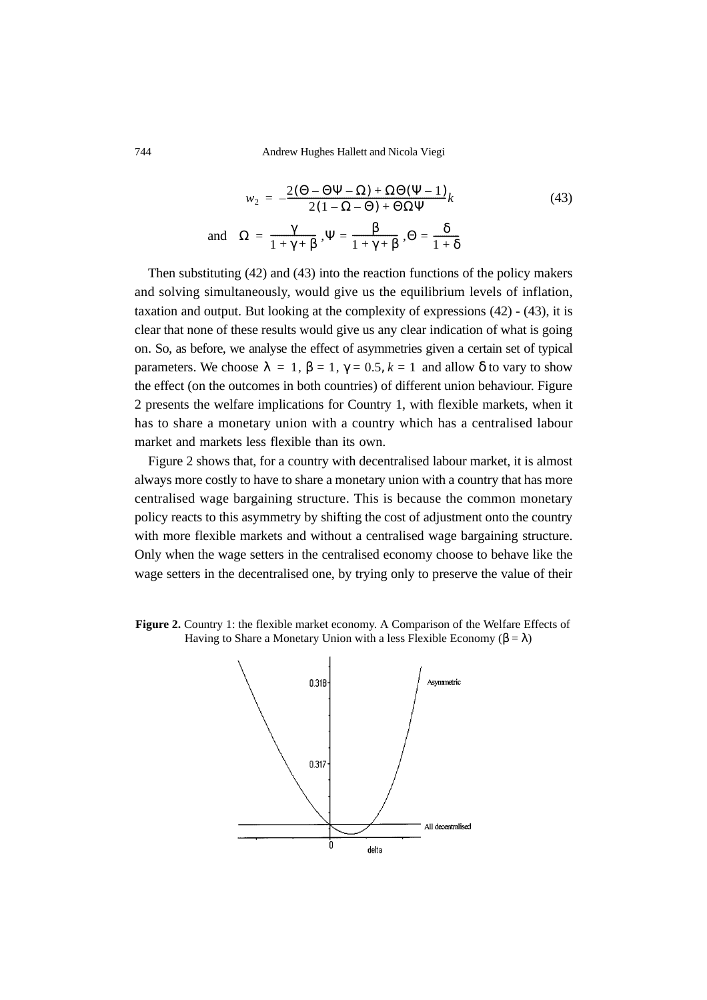744 Andrew Hughes Hallett and Nicola Viegi

$$
w_2 = -\frac{2(\Theta - \Theta \Psi - \Omega) + \Omega \Theta (\Psi - 1)}{2(1 - \Omega - \Theta) + \Theta \Omega \Psi} k
$$
(43)  
and 
$$
\Omega = \frac{\gamma}{1 + \gamma + \beta}, \Psi = \frac{\beta}{1 + \gamma + \beta}, \Theta = \frac{\delta}{1 + \delta}
$$

Then substituting (42) and (43) into the reaction functions of the policy makers and solving simultaneously, would give us the equilibrium levels of inflation, taxation and output. But looking at the complexity of expressions (42) - (43), it is clear that none of these results would give us any clear indication of what is going on. So, as before, we analyse the effect of asymmetries given a certain set of typical parameters. We choose  $\lambda = 1$ ,  $\beta = 1$ ,  $\gamma = 0.5$ ,  $k = 1$  and allow  $\delta$  to vary to show the effect (on the outcomes in both countries) of different union behaviour. Figure 2 presents the welfare implications for Country 1, with flexible markets, when it has to share a monetary union with a country which has a centralised labour market and markets less flexible than its own.

Figure 2 shows that, for a country with decentralised labour market, it is almost always more costly to have to share a monetary union with a country that has more centralised wage bargaining structure. This is because the common monetary policy reacts to this asymmetry by shifting the cost of adjustment onto the country with more flexible markets and without a centralised wage bargaining structure. Only when the wage setters in the centralised economy choose to behave like the wage setters in the decentralised one, by trying only to preserve the value of their



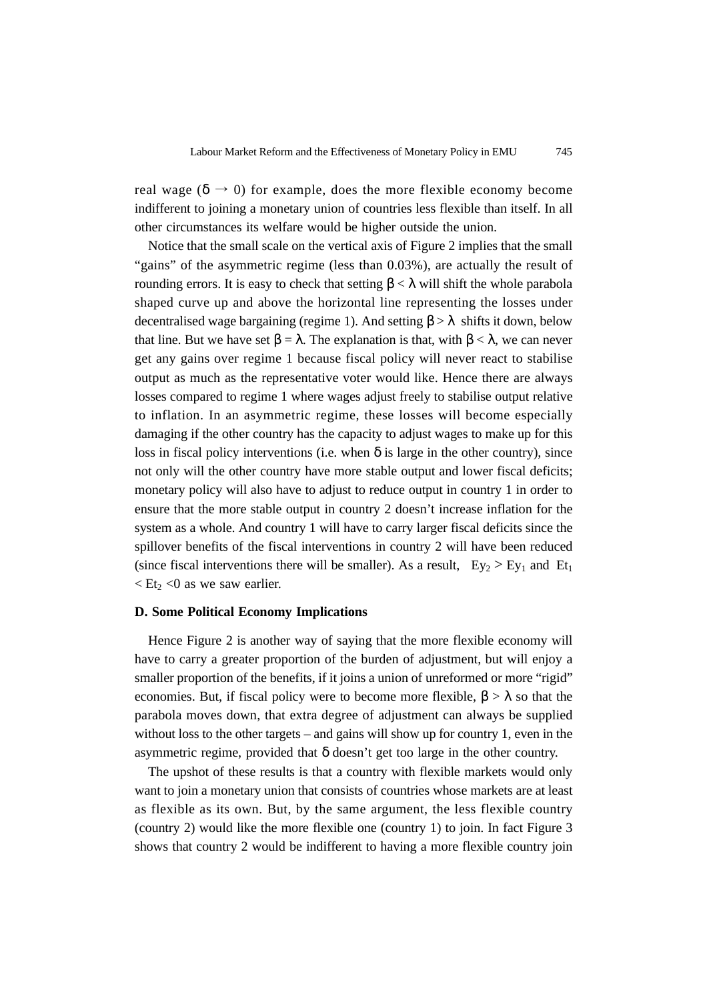real wage ( $\delta \rightarrow 0$ ) for example, does the more flexible economy become indifferent to joining a monetary union of countries less flexible than itself. In all other circumstances its welfare would be higher outside the union.

Notice that the small scale on the vertical axis of Figure 2 implies that the small "gains" of the asymmetric regime (less than  $0.03\%$ ), are actually the result of rounding errors. It is easy to check that setting  $β < λ$  will shift the whole parabola shaped curve up and above the horizontal line representing the losses under decentralised wage bargaining (regime 1). And setting  $\beta > \lambda$  shifts it down, below that line. But we have set  $β = λ$ . The explanation is that, with  $β < λ$ , we can never get any gains over regime 1 because fiscal policy will never react to stabilise output as much as the representative voter would like. Hence there are always losses compared to regime 1 where wages adjust freely to stabilise output relative to inflation. In an asymmetric regime, these losses will become especially damaging if the other country has the capacity to adjust wages to make up for this loss in fiscal policy interventions (i.e. when  $\delta$  is large in the other country), since not only will the other country have more stable output and lower fiscal deficits; monetary policy will also have to adjust to reduce output in country 1 in order to ensure that the more stable output in country 2 doesn't increase inflation for the system as a whole. And country 1 will have to carry larger fiscal deficits since the spillover benefits of the fiscal interventions in country 2 will have been reduced (since fiscal interventions there will be smaller). As a result,  $Ey_2 > Ey_1$  and  $Et_1$  $\langle E_2 \rangle$  < 0 as we saw earlier.

#### **D. Some Political Economy Implications**

Hence Figure 2 is another way of saying that the more flexible economy will have to carry a greater proportion of the burden of adjustment, but will enjoy a smaller proportion of the benefits, if it joins a union of unreformed or more "rigid" economies. But, if fiscal policy were to become more flexible,  $\beta > \lambda$  so that the parabola moves down, that extra degree of adjustment can always be supplied without loss to the other targets – and gains will show up for country 1, even in the asymmetric regime, provided that  $\delta$  doesn't get too large in the other country.

The upshot of these results is that a country with flexible markets would only want to join a monetary union that consists of countries whose markets are at least as flexible as its own. But, by the same argument, the less flexible country (country 2) would like the more flexible one (country 1) to join. In fact Figure 3 shows that country 2 would be indifferent to having a more flexible country join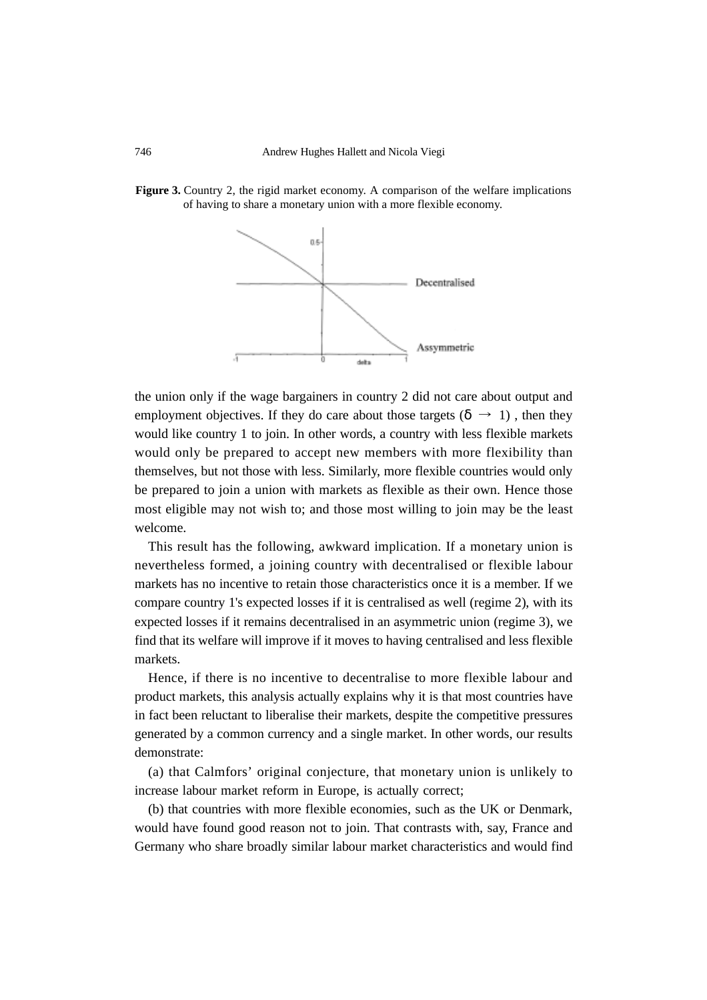

**Figure 3.** Country 2, the rigid market economy. A comparison of the welfare implications of having to share a monetary union with a more flexible economy.

the union only if the wage bargainers in country 2 did not care about output and employment objectives. If they do care about those targets ( $\delta \rightarrow 1$ ), then they would like country 1 to join. In other words, a country with less flexible markets would only be prepared to accept new members with more flexibility than themselves, but not those with less. Similarly, more flexible countries would only be prepared to join a union with markets as flexible as their own. Hence those most eligible may not wish to; and those most willing to join may be the least welcome.

This result has the following, awkward implication. If a monetary union is nevertheless formed, a joining country with decentralised or flexible labour markets has no incentive to retain those characteristics once it is a member. If we compare country 1's expected losses if it is centralised as well (regime 2), with its expected losses if it remains decentralised in an asymmetric union (regime 3), we find that its welfare will improve if it moves to having centralised and less flexible markets.

Hence, if there is no incentive to decentralise to more flexible labour and product markets, this analysis actually explains why it is that most countries have in fact been reluctant to liberalise their markets, despite the competitive pressures generated by a common currency and a single market. In other words, our results demonstrate:

(a) that Calmfors' original conjecture, that monetary union is unlikely to increase labour market reform in Europe, is actually correct;

(b) that countries with more flexible economies, such as the UK or Denmark, would have found good reason not to join. That contrasts with, say, France and Germany who share broadly similar labour market characteristics and would find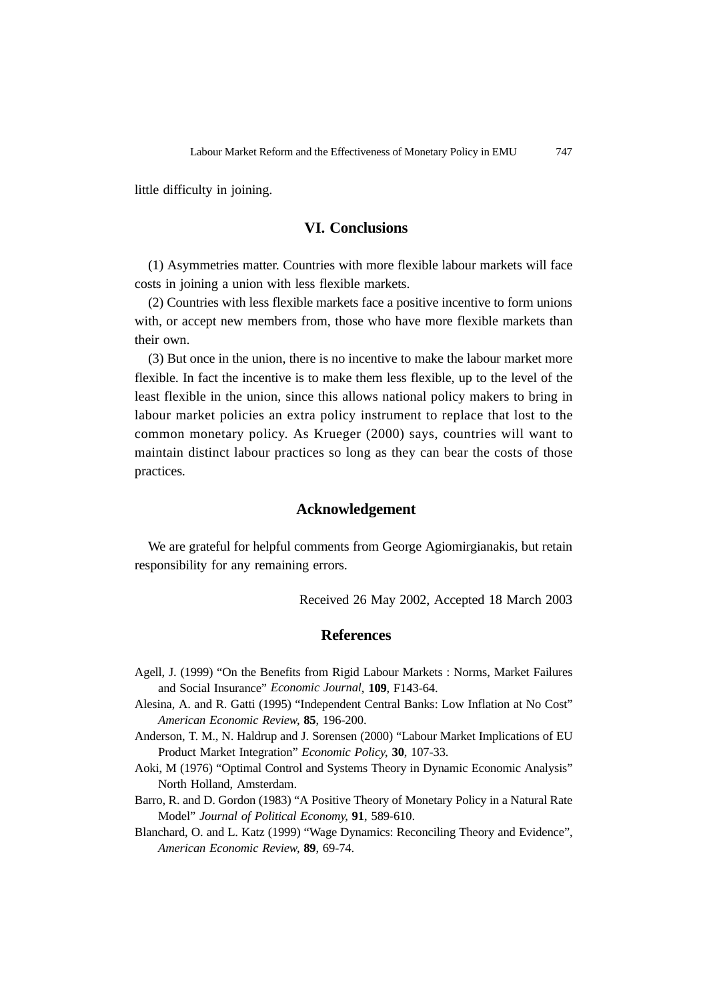little difficulty in joining.

# **VI. Conclusions**

(1) Asymmetries matter. Countries with more flexible labour markets will face costs in joining a union with less flexible markets.

(2) Countries with less flexible markets face a positive incentive to form unions with, or accept new members from, those who have more flexible markets than their own.

(3) But once in the union, there is no incentive to make the labour market more flexible. In fact the incentive is to make them less flexible, up to the level of the least flexible in the union, since this allows national policy makers to bring in labour market policies an extra policy instrument to replace that lost to the common monetary policy. As Krueger (2000) says, countries will want to maintain distinct labour practices so long as they can bear the costs of those practices.

#### **Acknowledgement**

We are grateful for helpful comments from George Agiomirgianakis, but retain responsibility for any remaining errors.

Received 26 May 2002, Accepted 18 March 2003

# **References**

- Agell, J. (1999) "On the Benefits from Rigid Labour Markets : Norms, Market Failures and Social Insurance" *Economic Journal*, **109**, F143-64.
- Alesina, A. and R. Gatti (1995) "Independent Central Banks: Low Inflation at No Cost" *American Economic Review*, **85**, 196-200.
- Anderson, T. M., N. Haldrup and J. Sorensen (2000) "Labour Market Implications of EU Product Market Integration" *Economic Policy*, **30**, 107-33.
- Aoki, M (1976) "Optimal Control and Systems Theory in Dynamic Economic Analysis" North Holland, Amsterdam.
- Barro, R. and D. Gordon (1983) "A Positive Theory of Monetary Policy in a Natural Rate Model" *Journal of Political Economy*, **91**, 589-610.
- Blanchard, O. and L. Katz (1999) "Wage Dynamics: Reconciling Theory and Evidence", *American Economic Review*, **89**, 69-74.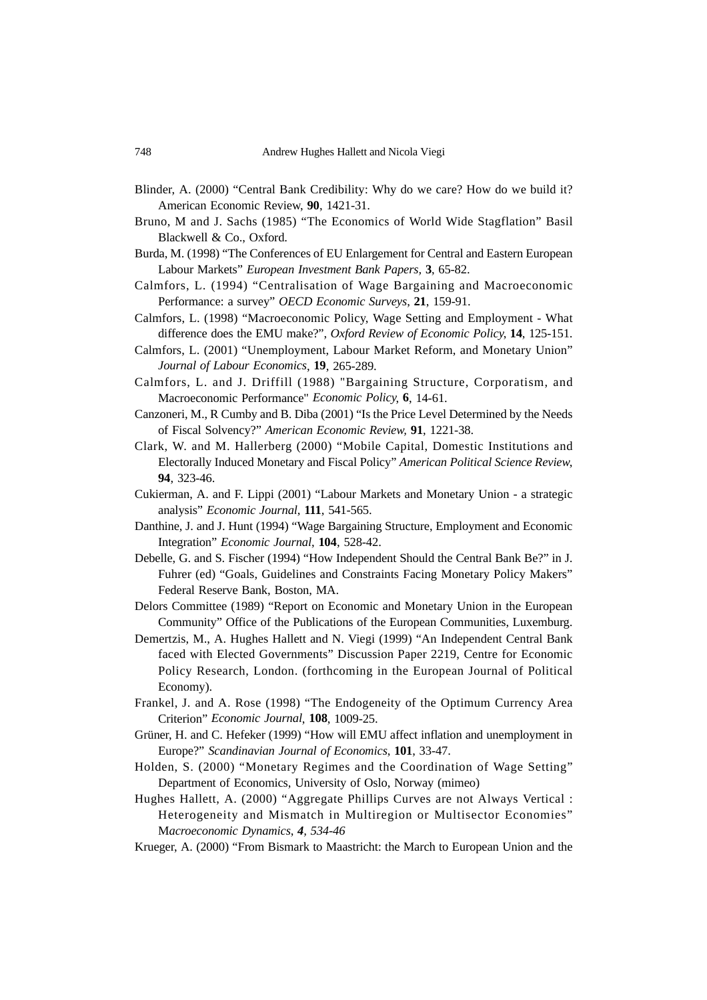- Blinder, A. (2000) "Central Bank Credibility: Why do we care? How do we build it? American Economic Review, **90**, 1421-31.
- Bruno, M and J. Sachs (1985) "The Economics of World Wide Stagflation" Basil Blackwell & Co., Oxford.
- Burda, M. (1998) "The Conferences of EU Enlargement for Central and Eastern European Labour Markets" *European Investment Bank Papers,* **3**, 65-82.
- Calmfors, L. (1994) "Centralisation of Wage Bargaining and Macroeconomic Performance: a survey" *OECD Economic Surveys*, **21**, 159-91.
- Calmfors, L. (1998) "Macroeconomic Policy, Wage Setting and Employment What difference does the EMU make?", *Oxford Review of Economic Policy*, **14**, 125-151.
- Calmfors, L. (2001) "Unemployment, Labour Market Reform, and Monetary Union" *Journal of Labour Economics*, **19**, 265-289.
- Calmfors, L. and J. Driffill (1988) "Bargaining Structure, Corporatism, and Macroeconomic Performance" *Economic Policy*, **6**, 14-61.
- Canzoneri, M., R Cumby and B. Diba (2001) "Is the Price Level Determined by the Needs of Fiscal Solvency?" *American Economic Review,* **91**, 1221-38.
- Clark, W. and M. Hallerberg (2000) "Mobile Capital, Domestic Institutions and Electorally Induced Monetary and Fiscal Policy" *American Political Science Review*, **94**, 323-46.
- Cukierman, A. and F. Lippi (2001) "Labour Markets and Monetary Union a strategic analysis" *Economic Journal*, **111**, 541-565.
- Danthine, J. and J. Hunt (1994) "Wage Bargaining Structure, Employment and Economic Integration" *Economic Journal*, **104**, 528-42.
- Debelle, G. and S. Fischer (1994) "How Independent Should the Central Bank Be?" in J. Fuhrer (ed) "Goals, Guidelines and Constraints Facing Monetary Policy Makers" Federal Reserve Bank, Boston, MA.
- Delors Committee (1989) "Report on Economic and Monetary Union in the European Community" Office of the Publications of the European Communities, Luxemburg.
- Demertzis, M., A. Hughes Hallett and N. Viegi (1999) "An Independent Central Bank faced with Elected Governments" Discussion Paper 2219, Centre for Economic Policy Research, London. (forthcoming in the European Journal of Political Economy).
- Frankel, J. and A. Rose (1998) "The Endogeneity of the Optimum Currency Area Criterion" *Economic Journal*, **108**, 1009-25.
- Grüner, H. and C. Hefeker (1999) "How will EMU affect inflation and unemployment in Europe?" *Scandinavian Journal of Economics*, **101**, 33-47.
- Holden, S. (2000) "Monetary Regimes and the Coordination of Wage Setting" Department of Economics, University of Oslo, Norway (mimeo)
- Hughes Hallett, A. (2000) "Aggregate Phillips Curves are not Always Vertical : Heterogeneity and Mismatch in Multiregion or Multisector Economies" M*acroeconomic Dynamics*, *4, 534-46*
- Krueger, A. (2000) "From Bismark to Maastricht: the March to European Union and the